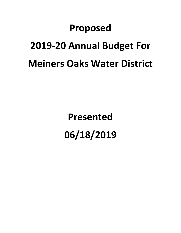# **Proposed 2019-20 Annual Budget For Meiners Oaks Water District**

**Presented 06/18/2019**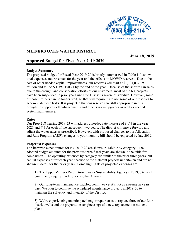

### **MEINERS OAKS WATER DISTRICT**

**June 18, 2019** 

## **Approved Budget for Fiscal Year 2019-2020**

#### **Budget Summary**

The proposed budget for Fiscal Year 2019-20 is briefly summarized in Table 1. It shows total expenses and revenues for the year and the effects on MOWD reserves. Due to the cost of other needed capital improvements, our reserves will start at \$1,734,037.19 million and fall to \$ 1,391,150.21 by the end of the year. Because of the shortfall in sales due to the drought and conservation efforts of our customers, most of the big projects have been suspended in prior years until the District's revenues stabilize. However, some of those projects can no longer wait, so that will require us to use some of our reserves to accomplish those tasks. It is projected that our reserves are still appropriate in this drought to support well enhancements and other system upgrades as well as needed system maintenance.

#### **Rates**

Our Prop 218 hearing 2019-23 will address a needed rate increase of 8.0% in the year 2021 and 4% for each of the subsequent two years. The district will move forward and adjust the water rates as prescribed. However, with proposed changes to our Allocation and Rate Program (ARP), changes to your monthly bill should be expected by late 2019.

#### **Projected Expenses**

The itemized expenditures for FY 2019-20 are shown in Table 2 by category. The adopted budget amounts for the previous three fiscal years are shown in the table for comparison. The operating expenses by category are similar to the prior three years, but capital expenses differ each year because of the different projects undertaken and are not shown in detail for the prior years. Some highlights of projected expenses are:

1) The Upper Ventura River Groundwater Sustainability Agency (UVRGSA) will continue to require funding for another 4 years.

2) Our long-term maintenance backlog continues yet it's not as extreme as years past. We plan to continue the scheduled maintenance projects in 2019-20 to maintain the solvency and integrity of the District.

3) We're experiencing unanticipated major repair costs to replace three of our four district wells and the preparation (engineering) of a new replacement treatment plant.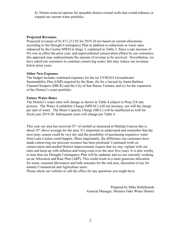4) Nitrate removal options for unusable district-owned wells that would enhance or expand our current water portfolio.

#### **Projected Revenues**

Projected revenues of \$1,871,213.02 for 2019-20 are based on current allocations according to the Drought Contingency Plan in addition to reductions in water sales enhanced by the Casitas MWD in Stage 3, explained in Table 3. Since a rate increase of 4% was in effect the prior year, and unprecedented conservation efforts by our customers, this approach may underestimate the amount of revenue to be received. Nevertheless, we have asked our customers to continue conserving water; this may reduce our revenues below prior years.

#### **Other New Expenses**

The budget includes continued expenses for the (a) UVRGSA Groundwater Sustainability Plan (GSP) required by the State, (b) for a lawsuit by Santa Barbara Channel Keepers (SBCK) and the City of San Buena Ventura, and (c) for the expansion of the District's water portfolio.

#### **Future Water Rates**

The District's water rates will change as shown in Table 4 subject to Prop 218 rate process. The Water Availability Charge (MWAC) will not increase, nor will the charge per unit of water. The Meter Capacity Charge (MCC) will be unaffected as well for fiscal year 2019-20. Subsequent years will change per Table 4.

This year our area has received 35" of rainfall as measured at Matilija Canyon this is about 10" above average for the area. It's important to understand and remember that the next rainy season could be very dry and the possibility of purchasing expensive water from Lake Casitas could happen. More importantly, the difference our customers have made conserving our precious resource has been profound. Continued work on conservation and needed District improvements require that we stay vigilant with our rates and keep up with inflation and rising costs over the next five-years. It is also worthy to note that our Drought Contingency Plan will be updated, and we are currently working on an Allocation and Rate Plan (ARP). This could result in a more generous allocation for some, seasonal allowances and bulk amounts for the end-user, discretion of use for namely Commercial and Agriculture users.

Please check our website or call the office for any questions you might have.

Prepared by Mike Hollebrands General Manager, Meiners Oaks Water District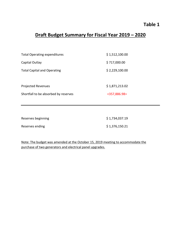# **Table 1**

# **Draft Budget Summary for Fiscal Year 2019 – 2020**

| <b>Total Operating expenditures</b>  | \$1,512,100.00  |
|--------------------------------------|-----------------|
| Capital Outlay                       | \$717,000.00    |
| <b>Total Capital and Operating</b>   | \$2,229,100.00  |
|                                      |                 |
| <b>Projected Revenues</b>            | \$1,871,213.02  |
| Shortfall to be absorbed by reserves | $<$ 357,886.98> |
|                                      |                 |

| Reserves beginning | \$1,734,037.19 |
|--------------------|----------------|
| Reserves ending    | \$1,376,150.21 |

Note: The budget was amended at the October 15, 2019 meeting to accommodate the purchase of two generators and electrical panel upgrades.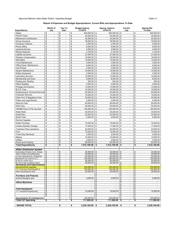#### Approved Meiners Oaks Water District Operating Budget **Table 2-1** and the state of the Security of Table 2-1

#### **Report of Expenses and Budget Appropriations, Current Bills and Appropriations To Date**

| <b>Expenditures</b>                                                 | Month of                                                             | Year To                                                          | <b>Budget Approp</b>                                                       | Approp. balance                            | Current                                                            | <b>Approp Bal</b>                                         |
|---------------------------------------------------------------------|----------------------------------------------------------------------|------------------------------------------------------------------|----------------------------------------------------------------------------|--------------------------------------------|--------------------------------------------------------------------|-----------------------------------------------------------|
|                                                                     | July                                                                 | Date                                                             | 7/1/2019                                                                   | 07/01/19                                   | July                                                               | <b>To Date</b>                                            |
| Salary                                                              | \$                                                                   | \$                                                               | \$                                                                         | \$                                         | \$                                                                 | \$                                                        |
|                                                                     | $\blacksquare$                                                       | $\blacksquare$                                                   | 500,000.00                                                                 | 500,000.00                                 | $\blacksquare$                                                     | 500,000.00                                                |
| Payroll Taxes                                                       | \$                                                                   | \$                                                               | \$                                                                         | 45,000.00                                  | \$                                                                 | \$                                                        |
|                                                                     | $\overline{\phantom{a}}$                                             | $\overline{\phantom{a}}$                                         | 45,000.00                                                                  | \$                                         | $\overline{\phantom{a}}$                                           | 45,000.00                                                 |
| <b>Retirement Contributions</b>                                     | \$                                                                   | \$                                                               | 42,000.00                                                                  | 42,000.00                                  | \$                                                                 | \$                                                        |
|                                                                     | $\overline{\phantom{a}}$                                             | $\overline{\phantom{a}}$                                         | \$                                                                         | \$                                         | $\blacksquare$                                                     | 42,000.00                                                 |
| Group Insurance                                                     | \$                                                                   | \$                                                               | \$                                                                         | \$                                         | \$                                                                 | \$                                                        |
|                                                                     | $\overline{\phantom{a}}$                                             | $\overline{\phantom{a}}$                                         | 78,000.00                                                                  | 78,000.00                                  | $\overline{\phantom{a}}$                                           | 78,000.00                                                 |
| <b>Company Uniforms</b>                                             | \$                                                                   | \$                                                               | \$                                                                         | \$                                         | \$                                                                 | \$                                                        |
|                                                                     | $\blacksquare$                                                       | $\overline{\phantom{a}}$                                         | 2,000.00                                                                   | 2,000.00                                   | $\blacksquare$                                                     | 2,000.00                                                  |
| Phone Office                                                        | \$                                                                   | \$                                                               | \$                                                                         | \$                                         | \$                                                                 | \$                                                        |
|                                                                     | $\overline{\phantom{a}}$                                             | $\overline{\phantom{a}}$                                         | 9,000.00                                                                   | 9,000.00                                   | $\blacksquare$                                                     | 9,000.00                                                  |
| Janitorial Service                                                  | \$                                                                   | \$                                                               | \$                                                                         | \$                                         | \$                                                                 | \$                                                        |
|                                                                     | $\blacksquare$                                                       | $\blacksquare$                                                   | 4,500.00                                                                   | 4,500.00                                   | $\blacksquare$                                                     | 4,500.00                                                  |
| <b>Refuse Disposal</b>                                              | \$                                                                   | \$                                                               | \$                                                                         | \$                                         | \$                                                                 | \$                                                        |
|                                                                     | ä,                                                                   | $\overline{\phantom{a}}$                                         | 3,100.00                                                                   | 3,100.00                                   | $\blacksquare$                                                     | 3,100.00                                                  |
| Liability Insurance                                                 | \$                                                                   | \$                                                               | \$                                                                         | \$                                         | \$                                                                 | \$                                                        |
|                                                                     | $\overline{\phantom{a}}$                                             | $\overline{\phantom{a}}$                                         | 27,000.00                                                                  | 27,000.00                                  | $\blacksquare$                                                     | 27,000.00                                                 |
| <b>Workers Compensation</b>                                         | \$                                                                   | \$                                                               | \$                                                                         | \$                                         | \$                                                                 | \$                                                        |
|                                                                     | ä,                                                                   | $\overline{\phantom{a}}$                                         | 18,000.00                                                                  | 18,000.00                                  | $\blacksquare$                                                     | 18,000.00                                                 |
| Well Maint                                                          | \$                                                                   | \$                                                               | \$                                                                         | \$                                         | \$                                                                 | \$                                                        |
|                                                                     | ä,                                                                   | $\overline{a}$                                                   | 10,000.00                                                                  | 10,000.00                                  | $\blacksquare$                                                     | 10,000.00                                                 |
| <b>Truck Maintenance</b>                                            | \$<br>$\overline{\phantom{a}}$                                       | \$<br>$\overline{\phantom{a}}$<br>$\overline{a}$                 | \$<br>3.000.00                                                             | \$<br>3,000.00                             | \$<br>$\blacksquare$                                               | \$<br>3,000.00                                            |
| Office Equip. Maintenance                                           | \$<br>ä,<br>\$<br>$\blacksquare$                                     | \$<br>\$                                                         | \$<br>6,000.00<br>\$                                                       | \$<br>6,000.00                             | \$<br>$\blacksquare$<br>\$                                         | \$<br>6,000.00<br>\$                                      |
| Cell Phones<br>System Maintenance                                   | \$<br>$\blacksquare$                                                 | $\blacksquare$<br>\$<br>$\blacksquare$                           | 4,000.00<br>\$                                                             | \$<br>4,000.00<br>\$                       | $\sim$<br>\$<br>٠                                                  | 4,000.00<br>\$                                            |
| Safety Equipment                                                    | \$<br>$\blacksquare$                                                 | \$<br>$\overline{\phantom{a}}$                                   | 75,000.00<br>\$<br>3,000.00                                                | 75,000.00<br>\$<br>3,000.00                | \$<br>$\overline{a}$                                               | 75,000.00<br>\$<br>3,000.00                               |
| <b>Laboratory Services</b>                                          | \$                                                                   | \$                                                               | \$                                                                         | \$                                         | \$                                                                 | \$                                                        |
|                                                                     | $\overline{\phantom{a}}$                                             | $\overline{\phantom{a}}$                                         | 12,000.00                                                                  | 12,000.00                                  | $\blacksquare$                                                     | 12,000.00                                                 |
| Membership and Dues                                                 | \$                                                                   | \$                                                               | \$                                                                         | \$                                         | \$                                                                 | \$                                                        |
|                                                                     | $\blacksquare$                                                       | $\overline{\phantom{a}}$                                         | 8,000.00                                                                   | 8,000.00                                   | $\overline{\phantom{a}}$                                           | 8,000.00                                                  |
| Printing and Binding                                                | \$                                                                   | \$                                                               | \$                                                                         | \$                                         | \$                                                                 | \$                                                        |
|                                                                     | $\overline{\phantom{a}}$                                             | ä,                                                               | 500.00                                                                     | 500.00                                     | $\blacksquare$                                                     | 500.00                                                    |
| <b>Office Supplies</b>                                              | \$                                                                   | \$                                                               | \$                                                                         | \$                                         | \$                                                                 | \$                                                        |
|                                                                     | ä,                                                                   | ä,                                                               | 5,000.00                                                                   | 5,000.00                                   | ÷,                                                                 | 5,000.00                                                  |
| Postage and Express                                                 | \$                                                                   | \$                                                               | \$                                                                         | \$                                         | \$                                                                 | \$                                                        |
|                                                                     | ä,                                                                   | $\overline{a}$                                                   | 13,000.00                                                                  | 13,000.00                                  | $\blacksquare$                                                     | 13,000.00                                                 |
| B.O.D. Fees                                                         | \$                                                                   | \$<br>ä,                                                         | \$<br>15,000.00                                                            | \$<br>15,000.00                            | \$<br>÷,                                                           | \$<br>15,000.00                                           |
| <b>Engineering &amp; Technical Services</b>                         | \$                                                                   | \$                                                               | \$                                                                         | \$                                         | \$                                                                 | \$                                                        |
|                                                                     | $\overline{\phantom{a}}$                                             | $\overline{\phantom{a}}$                                         | 50,000.00                                                                  | 50,000.00                                  | $\overline{\phantom{a}}$                                           | 50,000.00                                                 |
| <b>Computer Services</b>                                            | \$                                                                   | \$                                                               | \$                                                                         | \$                                         | \$                                                                 | \$                                                        |
|                                                                     | $\overline{a}$                                                       | $\overline{\phantom{a}}$                                         | 15.000.00                                                                  | 15,000.00                                  | $\blacksquare$                                                     | 15,000.00                                                 |
| Other Prof. & Regulatory Fees                                       | \$                                                                   | \$                                                               | \$                                                                         | \$                                         | \$                                                                 | \$                                                        |
|                                                                     | $\overline{\phantom{a}}$                                             | $\overline{\phantom{a}}$                                         | 45,000.00                                                                  | 45.000.00                                  | $\overline{\phantom{a}}$                                           | 45,000.00                                                 |
| Public and Legal Notices                                            | \$                                                                   | \$                                                               | \$                                                                         | \$                                         | \$                                                                 | \$                                                        |
|                                                                     | $\blacksquare$                                                       | $\overline{\phantom{0}}$                                         | 2,000.00                                                                   | 2,000.00                                   | ä,                                                                 | 2,000.00                                                  |
| <b>Attorney Fees</b>                                                | \$                                                                   | \$                                                               | \$                                                                         | \$                                         | \$                                                                 | \$                                                        |
|                                                                     | ä,                                                                   | $\overline{\phantom{a}}$                                         | 90,000.00                                                                  | 90,000.00                                  | $\blacksquare$                                                     | 90,000.00                                                 |
| <b>GSA Fees</b>                                                     | \$                                                                   | \$                                                               | \$                                                                         | \$                                         | \$                                                                 | \$                                                        |
|                                                                     | $\overline{\phantom{a}}$                                             | $\overline{\phantom{a}}$                                         | 50,000.00                                                                  | 50,000.00                                  | $\blacksquare$                                                     | 50.000.00                                                 |
| VR/SBC/City of VTA Law Suit                                         | \$                                                                   | \$<br>$\overline{\phantom{a}}$                                   | \$<br>100,000.00                                                           | \$<br>100,000.00                           | \$<br>$\blacksquare$                                               | \$<br>100,000.00                                          |
| <b>State Water</b>                                                  | \$                                                                   | \$                                                               | \$                                                                         | \$                                         | \$                                                                 | \$                                                        |
|                                                                     | $\blacksquare$                                                       | $\blacksquare$                                                   | 35,000.00                                                                  | 35,000.00                                  | ÷,                                                                 | 35,000.00                                                 |
| <b>Audit Fees</b>                                                   | \$                                                                   | \$                                                               | \$                                                                         | \$                                         | \$                                                                 | \$                                                        |
|                                                                     | $\blacksquare$                                                       | $\overline{\phantom{a}}$                                         | 22,000.00                                                                  | 22,000.00                                  | $\blacksquare$                                                     | 22,000.00                                                 |
| <b>Small Tools</b>                                                  | \$                                                                   | \$                                                               | \$                                                                         | \$                                         | \$                                                                 | \$                                                        |
|                                                                     | $\overline{\phantom{a}}$                                             | $\overline{\phantom{a}}$                                         | 2,500.00                                                                   | 2,500.00                                   | $\overline{\phantom{a}}$                                           | 2,500.00                                                  |
| <b>Election Supplies</b>                                            | \$<br>ä,                                                             | \$<br>$\blacksquare$                                             | \$                                                                         | \$                                         | \$<br>÷.                                                           | \$                                                        |
| <b>Water Purchase</b>                                               | \$                                                                   | \$                                                               | \$                                                                         | \$                                         | \$                                                                 | \$                                                        |
|                                                                     | $\blacksquare$                                                       | $\blacksquare$                                                   | 75,000.00                                                                  | 75,000.00                                  | ÷,                                                                 | 75,000.00                                                 |
| <b>Casitas Standby Charges</b>                                      | \$                                                                   | \$                                                               | \$                                                                         | \$                                         | \$                                                                 | \$                                                        |
|                                                                     | $\overline{\phantom{a}}$                                             | ä,                                                               | 17,000.00                                                                  | 17,000.00                                  | ÷,                                                                 | 17,000.00                                                 |
| <b>Treatment Plant operations</b>                                   | \$<br>÷,                                                             | \$<br>L.                                                         | \$<br>20,000.00                                                            | \$<br>20,000.00                            | \$                                                                 | \$<br>20,000.00                                           |
| Fuel                                                                | \$                                                                   | \$                                                               | \$                                                                         | \$                                         | \$                                                                 | \$                                                        |
|                                                                     | $\blacksquare$                                                       | $\overline{\phantom{a}}$                                         | 10,000.00                                                                  | 10,000.00                                  | $\overline{\phantom{a}}$                                           | 10,000.00                                                 |
| <b>Travel Exp./Seminars</b>                                         | \$                                                                   | \$                                                               | \$                                                                         | \$                                         | \$                                                                 | \$                                                        |
|                                                                     | $\overline{\phantom{a}}$                                             | $\overline{\phantom{a}}$                                         | 2,000.00                                                                   | 2,000.00                                   | $\blacksquare$                                                     | 2,000.00                                                  |
| Meters                                                              | \$                                                                   | \$                                                               | \$                                                                         | \$                                         | \$                                                                 | \$                                                        |
|                                                                     | $\blacksquare$                                                       | ÷,                                                               | 10,000.00                                                                  | 10,000.00                                  | $\blacksquare$                                                     | 10,000.00                                                 |
| <b>Utilities</b>                                                    | \$                                                                   | \$                                                               | \$                                                                         | \$                                         | \$                                                                 | \$                                                        |
|                                                                     | $\overline{\phantom{a}}$                                             | $\overline{\phantom{a}}$                                         | 3,500.00                                                                   | 3,500.00                                   | $\overline{\phantom{a}}$                                           | 3,500.00                                                  |
| Power and Pumping                                                   | \$                                                                   | \$<br>$\overline{a}$                                             | \$<br>80,000.00                                                            | \$<br>80,000.00                            | \$                                                                 | \$<br>80,000.00                                           |
| <b>Total Expenditures</b>                                           | \$                                                                   | \$                                                               | \$                                                                         | \$                                         | \$                                                                 | \$                                                        |
|                                                                     | ٠                                                                    | ٠                                                                | 1,512,100.00                                                               | 1,512,100.00                               | $\blacksquare$                                                     | 1,512,100.00                                              |
|                                                                     |                                                                      |                                                                  |                                                                            |                                            |                                                                    |                                                           |
| <b>Water Distribution System</b>                                    |                                                                      |                                                                  |                                                                            |                                            | $\overline{a}$                                                     |                                                           |
| Automating Fairview Conn. Design<br>Well 8 nitrate removal/blending | \$<br>$\overline{\phantom{a}}$<br>Ŝ.<br>$\overline{\phantom{a}}$     | \$<br>$\overline{\phantom{a}}$                                   | 20,000.00<br>S<br>\$<br>25.000.00                                          | 20,000.00<br>\$<br>25,000.00               | - \$<br>\$<br>$\overline{\phantom{a}}$                             | 20,000.00<br>\$<br>25.000.00                              |
| 4 Valve replacements / Deadends                                     | \$                                                                   | \$                                                               | \$                                                                         | \$                                         | \$                                                                 | 50,000.00                                                 |
|                                                                     | $\blacksquare$                                                       | $\blacksquare$                                                   | 50,000.00                                                                  | 50.000.00                                  | $\blacksquare$                                                     | \$                                                        |
| Relocate 6 inch main for Z-2                                        | Φ<br>$\overline{\phantom{a}}$                                        | $\overline{\phantom{a}}$                                         | 100,000.00   \$                                                            | 100,000.00   \$                            |                                                                    | 100,000.00                                                |
| El Sol to Lomita Tie-in<br>R1 and 2 well conditions report          | \$<br>$\overline{\phantom{a}}$<br>\$<br>$\overline{\phantom{a}}$     | \$<br>$\overline{\phantom{a}}$<br>\$<br>$\overline{\phantom{a}}$ | \$<br>$50,000.00$ \$<br>\$<br>25,000.00 \$                                 | 50,000.00<br>25,000.00 \$                  |                                                                    | $\boldsymbol{\mathsf{s}}$<br>50,000.00<br>\$<br>25,000.00 |
| <b>Structures and Improvement \$</b>                                | $\blacksquare$                                                       | \$<br>$\overline{\phantom{a}}$                                   | \$<br>$\sim$                                                               | -\$                                        | $\overline{\phantom{a}}$<br>- \$<br>$\overline{\phantom{a}}$       | S                                                         |
| <b>Generator/Panel upgrades</b>                                     | $\mathbf{\$}$<br>Ξ                                                   | \$<br>$\blacksquare$                                             | $\overline{\mathcal{S}}$<br>$155,000.00$ \$                                | 155,000.00                                 | $\overline{\phantom{a}}$<br>$\blacksquare$                         | <sub>S</sub><br>155,000.00                                |
| T.P. Final Eng./Permitting/PH-2                                     | \$<br>$\blacksquare$                                                 | \$<br>$\overline{\phantom{a}}$                                   | \$<br>$150,000.00$ \\$                                                     | $150,000.00$ \$                            | $\sim$                                                             | \$<br>150,000.00                                          |
| Well 4 development work                                             | \$<br>$\qquad \qquad \blacksquare$<br>\$<br>$\overline{\phantom{a}}$ | \$<br>$\overline{\phantom{0}}$<br>\$<br>$\overline{\phantom{a}}$ | $\overline{\mathcal{E}}$<br>25,000.00 \$<br>\$<br>$\overline{\phantom{a}}$ | $25,000.00$ \$<br>\$                       | $\overline{\phantom{a}}$<br>\$<br>$\blacksquare$                   | \$<br>25,000.00<br>\$                                     |
| <b>Furniture and Fixtures</b>                                       | \$<br>$\overline{\phantom{a}}$                                       | \$<br>$\overline{\phantom{a}}$                                   | \$                                                                         | \$                                         | \$<br>$\overline{\phantom{a}}$                                     | \$                                                        |
| General Managers desk                                               | \$<br>$\overline{\phantom{a}}$                                       | \$<br>$\overline{\phantom{a}}$                                   | \$<br>2,000.00                                                             | $\boldsymbol{\mathsf{s}}$<br>$2,000.00$ \$ | $\blacksquare$                                                     | \$<br>2,000.00                                            |
| <b>Office Machines</b>                                              | \$<br>$\centerdot$<br>\$<br>$\overline{\phantom{a}}$                 | \$<br>$\overline{\phantom{a}}$<br>\$<br>$\overline{\phantom{a}}$ | $\boldsymbol{\theta}$<br>\$<br>$\overline{\phantom{a}}$                    | \$<br>\$<br>$\sim$                         | \$<br>$\overline{\phantom{a}}$<br>\$<br>$\sim$                     | \$<br>\$<br>$\sim$                                        |
|                                                                     | \$<br>$\overline{\phantom{a}}$                                       | \$<br>$\overline{\phantom{a}}$                                   | \$<br>$\overline{\phantom{a}}$                                             | \$                                         | \$<br>$\overline{\phantom{a}}$                                     | \$                                                        |
|                                                                     | \$                                                                   | \$                                                               | \$                                                                         | \$                                         | \$                                                                 | \$                                                        |
|                                                                     | $\blacksquare$                                                       | $\blacksquare$                                                   | $\overline{\phantom{a}}$                                                   | $\blacksquare$                             | $\overline{\phantom{a}}$                                           | $\sim$                                                    |
| <b>Field Equipment</b>                                              | \$<br>L,                                                             | \$<br>$\blacksquare$                                             | \$                                                                         | \$<br>÷.                                   | \$<br>÷                                                            | \$                                                        |
| T.P. computer/Programming                                           | \$<br>$\overline{\phantom{a}}$<br>\$<br>$\overline{\phantom{a}}$     | \$<br>$\overline{\phantom{a}}$<br>\$<br>$\blacksquare$           | \$<br>15,000.00<br>\$                                                      | 15,000.00<br>\$<br>\$                      | l \$<br>$\overline{\phantom{a}}$<br>\$<br>$\overline{\phantom{a}}$ | 15,000.00<br>\$<br>\$                                     |
|                                                                     | \$<br>$\blacksquare$                                                 | \$<br>$\overline{\phantom{a}}$                                   | \$                                                                         | \$                                         | \$<br>$\overline{\phantom{a}}$                                     | \$<br>$\overline{\phantom{a}}$                            |
| <b>Appropriations for Contingencies</b>                             |                                                                      | \$<br>$\overline{\phantom{a}}$                                   | \$<br>100,000.00                                                           | \$<br>100,000.00                           | \$<br>$\overline{\phantom{a}}$                                     | \$<br>100,000.00                                          |
| <b>Total CIP Spending</b>                                           | 5<br>$\blacksquare$                                                  | 5<br>$\blacksquare$                                              | 717,000.00<br>5                                                            | 717,000.00<br>S                            | $\blacksquare$                                                     | 717,000.00<br>S                                           |
|                                                                     |                                                                      |                                                                  |                                                                            |                                            |                                                                    |                                                           |
| <b>GRAND TOTAL</b>                                                  |                                                                      | \$<br>$\blacksquare$                                             | \$<br>2,229,100.00                                                         | \$<br>2,229,100.00                         | \$<br>$\blacksquare$                                               | \$<br>2,229,100.00                                        |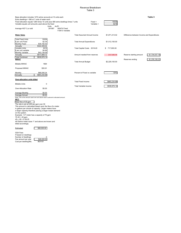#### Revenue Breakdown Table 3

| Base allocation includes 1274 active accounts at 10 units each<br>Extra dwellings = 580 at 7 units of water each                        |                             |                                 |                                    |                           |                |                                            | Table 3        |
|-----------------------------------------------------------------------------------------------------------------------------------------|-----------------------------|---------------------------------|------------------------------------|---------------------------|----------------|--------------------------------------------|----------------|
| Fixed allocation equals 1284 times 10 units plus 580 extra dwellings times 7 units<br>Variable equals unit amounts used above the fixed | Units                       | Ac/Ft                           |                                    | $Fixed =$<br>Variable $=$ | 15039<br>9218  |                                            |                |
| Average HCF 3 yr sold                                                                                                                   | 291087                      | 180474 Fixed<br>110613 Variable |                                    |                           |                |                                            |                |
| <b>Water Sales</b>                                                                                                                      |                             |                                 | <b>Total Assumed Annual Income</b> |                           | \$1,871,213.02 | Difference between Income and Expenditures |                |
| <b>Total Fixed Units</b><br>\$ per unit Fixed                                                                                           | 15039<br>\$2.34             |                                 | <b>Total Annual Expenditures</b>   |                           | \$1,512,100.00 |                                            |                |
| <b>Monthly Fixed</b><br>Annually                                                                                                        | \$35,192.42<br>\$422,309.02 |                                 |                                    |                           |                |                                            |                |
| Variable Units<br>\$ per unit variable                                                                                                  | 9218<br>\$4.68              |                                 | Total Capital Costs 2019-20        |                           | \$717,000.00   |                                            |                |
| <b>Monthly Variable</b><br>Annually                                                                                                     | \$43,139.09<br>\$517,669.12 |                                 | Amount needed from reserves        |                           | \$357,886.98   | Reserve starting amount                    | \$1,734,037.19 |
| <b>Total Combined</b><br><b>MWAC</b>                                                                                                    | \$939,978.14                |                                 |                                    |                           |                | Reserves ending                            | \$1,376,150.21 |
| <b>Billable MWAC</b>                                                                                                                    | 1864                        |                                 | <b>Total Annual Budget</b>         |                           | \$2,229,100.00 |                                            |                |
| Proposed MWAC                                                                                                                           | \$35.91                     |                                 |                                    |                           |                |                                            |                |
| Monthly<br>Annually                                                                                                                     | \$66,936.24<br>\$803,234.88 |                                 | Percent of Fixed vs variable       |                           | $-53%$         |                                            |                |
| Over-allocation units billed                                                                                                            |                             |                                 |                                    |                           |                |                                            |                |
| <b>Billable Units</b>                                                                                                                   | 0                           |                                 | <b>Total Fixed Income</b>          |                           | \$883,234.88   |                                            |                |
| <b>Over-Allocation Rate</b>                                                                                                             | \$5.00                      |                                 | Total Variable Income              |                           | \$939,978.14   |                                            |                |
| Average Monthly                                                                                                                         | \$0.00                      |                                 |                                    |                           |                |                                            |                |
| Average Annual                                                                                                                          | \$0.00                      |                                 |                                    |                           |                |                                            |                |

Note: This is the amount used over and above each customer's allocated amount.

**MCC**<br>Base flow of 30 gpm<br>The rate is set at \$.80 per gpm over 30<br>This amount is calculated based upon the flow of a meter<br>in gallons per minute of capacity. Larger meters have<br>on the system.<br>Example: 1.5" meter has a capa

75-30 = 45 gpm 45 x .85 = \$ 38.25

All District meter sizes 1" and above are known and billed accordingly

Estimated \$80,000.00

GSA Fees If based on dwellings<br>Number of dwellings<br>Fee amount per year \$48,000.00<br>Cost per dwelling/Mo. #DIV/0!